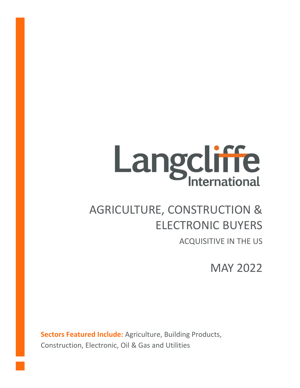# **Langcliffe**

# AGRICULTURE, CONSTRUCTION & ELECTRONIC BUYERS

ACQUISITIVE IN THE US

MAY 2022

**Sectors Featured Include:** Agriculture, Building Products, Construction, Electronic, Oil & Gas and Utilities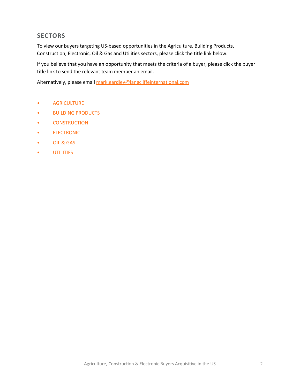# **SECTORS**

To view our buyers targeting US-based opportunities in the Agriculture, Building Products, Construction, Electronic, Oil & Gas and Utilities sectors, please click the title link below.

If you believe that you have an opportunity that meets the criteria of a buyer, please click the buyer title link to send the relevant team member an email.

Alternatively, please email [mark.eardley@langcliffeinternational.com](mailto:mark.eardley@langcliffeinternational.com?subject=Agriculture,%20Construction%20and%20Electronic%20Buyers%20Acquisitive%20in%20the%20US%20-%20May%202022)

- [AGRICULTURE](#page-2-0)
- [BUILDING PRODUCTS](#page-3-0)
- [CONSTRUCTION](#page-5-0)
- [ELECTRONIC](#page-11-0)
- [OIL & GAS](#page-19-0)
- [UTILITIES](#page-20-0)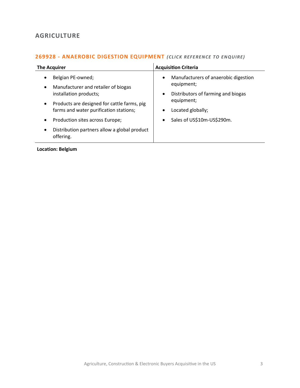# <span id="page-2-0"></span>**AGRICULTURE**

#### **269928 - [ANAEROBIC DIGESTION EQUIPMENT](mailto:poppy.briggs@langcliffeinternational.com?subject=269928%20-%20Anaerobic%20Digestion%20Equipment)** *(CLICK REFE REN CE TO ENQUIRE)*

| <b>The Acquirer</b>                                                    | <b>Acquisition Criteria</b>                       |
|------------------------------------------------------------------------|---------------------------------------------------|
| Belgian PE-owned;<br>$\bullet$                                         | Manufacturers of anaerobic digestion<br>$\bullet$ |
| Manufacturer and retailer of biogas<br>$\bullet$                       | equipment;                                        |
| installation products;                                                 | Distributors of farming and biogas<br>$\bullet$   |
| Products are designed for cattle farms, pig<br>$\bullet$               | equipment;                                        |
| farms and water purification stations;                                 | Located globally;<br>٠                            |
| Production sites across Europe;<br>$\bullet$                           | Sales of US\$10m-US\$290m.<br>$\bullet$           |
| Distribution partners allow a global product<br>$\bullet$<br>offering. |                                                   |

**Location: Belgium**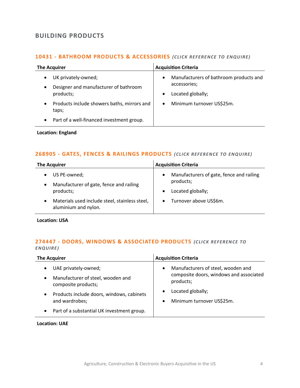# <span id="page-3-0"></span>**BUILDING PRODUCTS**

#### 10431 - **[BATHROOM PRODUCTS & ACCESSORIES](mailto:joanna.hughes@langcliffeinternational.com?subject=10431%20-%20Bathroom%20Products%20and%20Accessories)** (CLICK REFERENCE TO ENQUIRE)

| <b>The Acquirer</b>                                                                                 | <b>Acquisition Criteria</b>                                                                           |
|-----------------------------------------------------------------------------------------------------|-------------------------------------------------------------------------------------------------------|
| UK privately-owned;<br>$\bullet$<br>Designer and manufacturer of bathroom<br>$\bullet$<br>products; | Manufacturers of bathroom products and<br>$\bullet$<br>accessories;<br>Located globally;<br>$\bullet$ |
| Products include showers baths, mirrors and<br>$\bullet$<br>taps;                                   | Minimum turnover US\$25m.<br>$\bullet$                                                                |
| Part of a well-financed investment group.<br>$\bullet$                                              |                                                                                                       |

#### **Location: England**

#### **268905 - [GATES, FENCES & RAILINGS PRODUCTS](mailto:george.davies@langcliffeinternational.com?subject=268905%20-%20Gates,%20Fences%20and%20Railings%20Products)** *(CLICK REFEREN CE TO ENQUIRE)*

| <b>The Acquirer</b>                                                         | <b>Acquisition Criteria</b>                           |
|-----------------------------------------------------------------------------|-------------------------------------------------------|
| US PE-owned;                                                                | Manufacturers of gate, fence and railing<br>$\bullet$ |
| Manufacturer of gate, fence and railing                                     | products;                                             |
| products;                                                                   | Located globally;<br>$\bullet$                        |
| Materials used include steel, stainless steel,<br>٠<br>aluminium and nylon. | Turnover above US\$6m.<br>$\bullet$                   |

**Location: USA**

### **274447 - [DOORS, WINDOWS & ASSOCIATED PRODUCTS](mailto:joanna.hughes@langcliffeinternational.com?subject=274447%20-%20Doors,%20Windows%20and%20Associated%20Products)** *(CLICK REFEREN CE TO ENQUIRE )*

| <b>The Acquirer</b>                                                   | <b>Acquisition Criteria</b>                          |
|-----------------------------------------------------------------------|------------------------------------------------------|
| UAE privately-owned;<br>$\bullet$                                     | Manufacturers of steel, wooden and<br>$\bullet$      |
| Manufacturer of steel, wooden and<br>$\bullet$<br>composite products; | composite doors, windows and associated<br>products; |
| Products include doors, windows, cabinets<br>$\bullet$                | Located globally;<br>$\bullet$                       |
| and wardrobes;                                                        | Minimum turnover US\$25m.<br>$\bullet$               |
| Part of a substantial UK investment group.<br>٠                       |                                                      |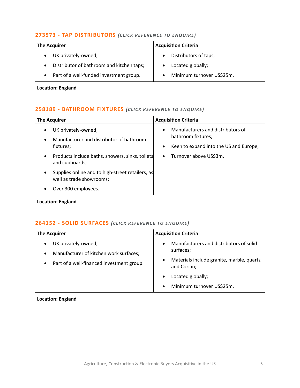#### **273573 - [TAP DISTRIBUTORS](mailto:eloka.philip@langcliffeinternational.com?subject=273573%20-%20Tap%20Distributors)** *(CLICK RE FERE NCE TO ENQUIRE)*

| <b>The Acquirer</b>                       | <b>Acquisition Criteria</b>        |
|-------------------------------------------|------------------------------------|
| UK privately-owned;                       | Distributors of taps;<br>$\bullet$ |
| Distributor of bathroom and kitchen taps; | Located globally;                  |
| Part of a well-funded investment group.   | Minimum turnover US\$25m.          |

**Location: England**

# **258189 - [BATHROOM FIXTURES](mailto:jack.hutchinson@langcliffeinternational.com?subject=258189%20-%20Bathroom%20Fixtures)** *(CLICK RE FE RENCE TO EN QUIRE)*

| <b>The Acquirer</b>                                                                                    | <b>Acquisition Criteria</b>                                                                                                 |
|--------------------------------------------------------------------------------------------------------|-----------------------------------------------------------------------------------------------------------------------------|
| UK privately-owned;<br>$\bullet$<br>Manufacturer and distributor of bathroom<br>$\bullet$<br>fixtures: | Manufacturers and distributors of<br>$\bullet$<br>bathroom fixtures;<br>Keen to expand into the US and Europe;<br>$\bullet$ |
| Products include baths, showers, sinks, toilets<br>$\bullet$<br>and cupboards;                         | Turnover above US\$3m.<br>$\bullet$                                                                                         |
| Supplies online and to high-street retailers, as<br>$\bullet$<br>well as trade showrooms;              |                                                                                                                             |
| Over 300 employees.<br>٠                                                                               |                                                                                                                             |

**Location: England**

#### **264152 - [SOLID SURFACES](mailto:joanna.hughes@langcliffeinternational.com?subject=264152%20-%20Solid%20Surfaces)** *(CLICK REFEREN CE TO EN QUIRE )*

| <b>The Acquirer</b>                                                                                                                               | <b>Acquisition Criteria</b>                                                                                                                                                                  |
|---------------------------------------------------------------------------------------------------------------------------------------------------|----------------------------------------------------------------------------------------------------------------------------------------------------------------------------------------------|
| UK privately-owned;<br>$\bullet$<br>Manufacturer of kitchen work surfaces;<br>$\bullet$<br>Part of a well-financed investment group.<br>$\bullet$ | Manufacturers and distributors of solid<br>$\bullet$<br>surfaces;<br>Materials include granite, marble, quartz<br>and Corian;<br>Located globally;<br>Minimum turnover US\$25m.<br>$\bullet$ |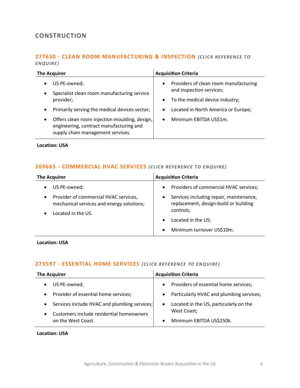# <span id="page-5-0"></span>**CONSTRUCTION**

#### **277630 - [CLEAN ROOM MANUFACTURING & INSPECTION](mailto:george.davies@langcliffeinternational.com?subject=277630%20-%20Clean%20Room%20Manufacturing%20and%20Inspection) (CLICK REFERENCE TO** *ENQUIRE )*

| <b>The Acquirer</b>                                                                                                                        | <b>Acquisition Criteria</b>           |
|--------------------------------------------------------------------------------------------------------------------------------------------|---------------------------------------|
| US PE-owned;                                                                                                                               | Providers of clean room manufacturing |
| $\bullet$                                                                                                                                  | $\bullet$                             |
| Specialist clean room manufacturing service                                                                                                | and inspection services;              |
| $\bullet$                                                                                                                                  | To the medical device industry;       |
| provider;                                                                                                                                  | $\bullet$                             |
| Primarily serving the medical devices sector;                                                                                              | Located in North America or Europe;   |
| $\bullet$                                                                                                                                  | $\bullet$                             |
| Offers clean room injection moulding, design,<br>$\bullet$<br>engineering, contract manufacturing and<br>supply chain management services. | Minimum EBITDA US\$1m.<br>$\bullet$   |

**Location: USA**

#### **269665 - [COMMERCIAL HVAC SERVICES](mailto:george.davies@langcliffeinternational.com?subject=269665%20-%20Commercial%20HVAC%20Services)** *(CLICK RE FERENCE TO EN QUIRE)*

| <b>The Acquirer</b>                                                                | <b>Acquisition Criteria</b>                                                                   |
|------------------------------------------------------------------------------------|-----------------------------------------------------------------------------------------------|
| US PE-owned;                                                                       | Providers of commercial HVAC services;<br>$\bullet$                                           |
| Provider of commercial HVAC services,<br>mechanical services and energy solutions; | Services including repair, maintenance,<br>$\bullet$<br>replacement, design-build or building |
| Located in the US.                                                                 | controls;                                                                                     |
|                                                                                    | Located in the US;                                                                            |
|                                                                                    | Minimum turnover US\$10m.<br>$\bullet$                                                        |

**Location: USA**

#### **273597 - [ESSENTIAL HOME SERVICES](mailto:george.davies@langcliffeinternational.com?subject=273597%20-%20Essential%20Home%20Services)** *(CLICK REFE RENCE TO EN QUIRE)*

| <b>The Acquirer</b>                          | <b>Acquisition Criteria</b>                        |
|----------------------------------------------|----------------------------------------------------|
| US PE-owned;                                 | Providers of essential home services;<br>$\bullet$ |
| Provider of essential home services;         | Particularly HVAC and plumbing services;           |
| $\bullet$                                    | $\bullet$                                          |
| Services include HVAC and plumbing services; | Located in the US, particularly on the             |
| $\bullet$                                    | $\bullet$                                          |
| Customers include residential homeowners     | West Coast;                                        |
| $\bullet$                                    | Minimum EBITDA US\$250k.                           |
| on the West Coast.                           | $\bullet$                                          |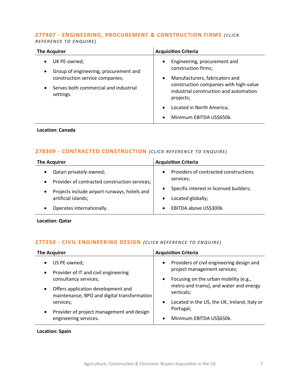# **277407 - [ENGINEERING, PROCUREMENT & CONSTRUCTION FIRMS](mailto:emily.mcdermott@langcliffeinternational.com?subject=277407%20-%20Engineering,%20Procurement%20and%20Construction%20Firms)** *(CLICK*

*REFEREN CE TO ENQUIRE )*

| <b>The Acquirer</b>                                                                                                                                         | <b>Acquisition Criteria</b>                                                                                                                                                                                                                                |
|-------------------------------------------------------------------------------------------------------------------------------------------------------------|------------------------------------------------------------------------------------------------------------------------------------------------------------------------------------------------------------------------------------------------------------|
| UK PE-owned;<br>Group of engineering, procurement and<br>$\bullet$<br>construction service companies;<br>Serves both commercial and industrial<br>settings. | Engineering, procurement and<br>$\bullet$<br>construction firms;<br>Manufacturers, fabricators and<br>$\bullet$<br>construction companies with high-value<br>industrial construction and automation<br>projects;<br>Located in North America;<br>$\bullet$ |
|                                                                                                                                                             | Minimum EBITDA US\$650k.<br>$\bullet$                                                                                                                                                                                                                      |

#### **Location: Canada**

#### **278309 - [CONTRACTED CONSTRUCTION](mailto:joanna.hughes@langcliffeinternational.com?subject=278309%20-%20Contracted%20Construction)** *(CLICK REFERENCE TO ENQUIRE)*

| <b>The Acquirer</b>                           | <b>Acquisition Criteria</b>             |
|-----------------------------------------------|-----------------------------------------|
| Qatari privately-owned;                       | Providers of contracted constructions   |
| Provider of contracted construction services; | $\bullet$                               |
| $\bullet$                                     | services;                               |
| Projects include airport runways, hotels and  | Specific interest in licensed builders; |
| $\bullet$                                     | $\bullet$                               |
| artificial islands;                           | Located globally;                       |
| Operates internationally.                     | EBITDA above US\$300k.<br>$\bullet$     |

**Location: Qatar**

#### **277250 - [CIVIL ENGINEERING DESIGN](mailto:george.davies@langcliffeinternational.com?subject=277250%20-%20Civil%20Engineering%20Design)** *(CLICK REFE RENCE TO EN QUIRE)*

| <b>The Acquirer</b>                                                               | <b>Acquisition Criteria</b>                                                            |
|-----------------------------------------------------------------------------------|----------------------------------------------------------------------------------------|
| US PE-owned;                                                                      | Providers of civil engineering design and<br>$\bullet$<br>project management services; |
| Provider of IT and civil engineering<br>$\bullet$<br>consultancy services;        | Focusing on the urban mobility (e.g.,<br>$\bullet$                                     |
| Offers application development and<br>maintenance, BPO and digital transformation | metro and trams), and water and energy<br>verticals;                                   |
| services;                                                                         | Located in the US, the UK, Ireland, Italy or<br>$\bullet$                              |
| Provider of project management and design                                         | Portugal;                                                                              |
| engineering services.                                                             | Minimum EBITDA US\$650k.<br>$\bullet$                                                  |

#### **Location: Spain**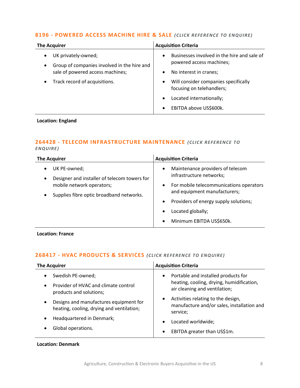#### **8196 - [POWERED ACCESS MACHINE HIRE & SALE](mailto:jack.hutchinson@langcliffeinternational.com?subject=8196%20-%20Powered%20Access%20Machine%20Hire%20and%20Sale)** *(CLICK REFERE NCE TO ENQUIRE)*

| <b>The Acquirer</b>                                                             | <b>Acquisition Criteria</b>                                                          |
|---------------------------------------------------------------------------------|--------------------------------------------------------------------------------------|
| UK privately-owned;<br>Group of companies involved in the hire and<br>$\bullet$ | Businesses involved in the hire and sale of<br>$\bullet$<br>powered access machines; |
| sale of powered access machines;                                                | No interest in cranes;<br>٠                                                          |
| Track record of acquisitions.                                                   | Will consider companies specifically<br>$\bullet$<br>focusing on telehandlers;       |
|                                                                                 | Located internationally;<br>$\bullet$                                                |
|                                                                                 | EBITDA above US\$600k.<br>$\bullet$                                                  |

#### **Location: England**

#### **264428 - [TELECOM INFRASTRUCTURE MAINTENANCE](mailto:maryia.amrez@langcliffeinternational.com?subject=264428%20-%20Telecom%20Infrastructure%20Maintenance)** *(CLICK RE FERENCE TO ENQUIRE )*

| <b>The Acquirer</b>                                                                                                                                | <b>Acquisition Criteria</b>                                                                                                                                                                                                                                                                        |
|----------------------------------------------------------------------------------------------------------------------------------------------------|----------------------------------------------------------------------------------------------------------------------------------------------------------------------------------------------------------------------------------------------------------------------------------------------------|
| UK PE-owned;<br>Designer and installer of telecom towers for<br>$\bullet$<br>mobile network operators;<br>Supplies fibre optic broadband networks. | Maintenance providers of telecom<br>$\bullet$<br>infrastructure networks;<br>For mobile telecommunications operators<br>$\bullet$<br>and equipment manufacturers;<br>Providers of energy supply solutions;<br>$\bullet$<br>Located globally;<br>$\bullet$<br>Minimum EBITDA US\$650k.<br>$\bullet$ |

**Location: France**

# **268417 - [HVAC PRODUCTS & SERVICES](mailto:poppy.briggs@langcliffeinternational.com?subject=268417%20-%20HVAC%20Products%20and%20Services)** *(CLICK RE FEREN CE TO EN QUIRE)*

| <b>The Acquirer</b>                                                                 | <b>Acquisition Criteria</b>                                                                               |
|-------------------------------------------------------------------------------------|-----------------------------------------------------------------------------------------------------------|
| Swedish PE-owned;                                                                   | Portable and installed products for<br>$\bullet$                                                          |
| Provider of HVAC and climate control<br>$\bullet$<br>products and solutions;        | heating, cooling, drying, humidification,<br>air cleaning and ventilation;                                |
| Designs and manufactures equipment for<br>heating, cooling, drying and ventilation; | Activities relating to the design,<br>$\bullet$<br>manufacture and/or sales, installation and<br>service; |
| Headquartered in Denmark;                                                           | Located worldwide;<br>$\bullet$                                                                           |
| Global operations.                                                                  | EBITDA greater than US\$1m.<br>$\bullet$                                                                  |

#### **Location: Denmark**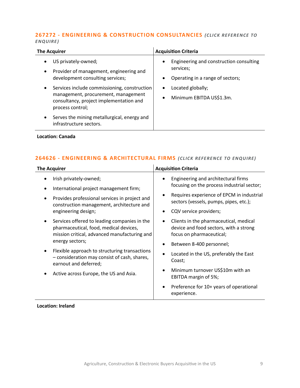#### **267272 - [ENGINEERING & CONSTRUCTION CONSULTANCIES](mailto:eloka.philip@langcliffeinternational.com?subject=267272%20-%20Engineering%20and%20Construction%20Consultancies)** *(CLICK RE FERENCE TO ENQUIRE )*

| <b>The Acquirer</b>                                                                                                                                             | <b>Acquisition Criteria</b>                                                                                        |
|-----------------------------------------------------------------------------------------------------------------------------------------------------------------|--------------------------------------------------------------------------------------------------------------------|
| US privately-owned;<br>Provider of management, engineering and<br>$\bullet$<br>development consulting services;                                                 | Engineering and construction consulting<br>$\bullet$<br>services;<br>Operating in a range of sectors;<br>$\bullet$ |
| Services include commissioning, construction<br>$\bullet$<br>management, procurement, management<br>consultancy, project implementation and<br>process control; | Located globally;<br>$\bullet$<br>Minimum EBITDA US\$1.3m.<br>$\bullet$                                            |
| Serves the mining metallurgical, energy and<br>infrastructure sectors.                                                                                          |                                                                                                                    |

#### **Location: Canada**

# **264626 - [ENGINEERING & ARCHITECTURAL FIRMS](mailto:ola.ahmed@langcliffeinternational.com?subject=264626%20-%20Engineering%20and%20Architectural%20Firms)** *(CLICK REFE RENCE TO EN QUIRE)*

| <b>The Acquirer</b>                                                                                                                                                                                                                                                                                                                                                                                                                                                                                                    | <b>Acquisition Criteria</b>                                                                                                                                                                                                                                                                                                                                                                                                                                                                                                                                                  |
|------------------------------------------------------------------------------------------------------------------------------------------------------------------------------------------------------------------------------------------------------------------------------------------------------------------------------------------------------------------------------------------------------------------------------------------------------------------------------------------------------------------------|------------------------------------------------------------------------------------------------------------------------------------------------------------------------------------------------------------------------------------------------------------------------------------------------------------------------------------------------------------------------------------------------------------------------------------------------------------------------------------------------------------------------------------------------------------------------------|
| Irish privately-owned;<br>International project management firm;<br>Provides professional services in project and<br>construction management, architecture and<br>engineering design;<br>Services offered to leading companies in the<br>pharmaceutical, food, medical devices,<br>mission critical, advanced manufacturing and<br>energy sectors;<br>Flexible approach to structuring transactions<br>- consideration may consist of cash, shares,<br>earnout and deferred;<br>Active across Europe, the US and Asia. | Engineering and architectural firms<br>$\bullet$<br>focusing on the process industrial sector;<br>Requires experience of EPCM in industrial<br>$\bullet$<br>sectors (vessels, pumps, pipes, etc.);<br>CQV service providers;<br>Clients in the pharmaceutical, medical<br>$\bullet$<br>device and food sectors, with a strong<br>focus on pharmaceutical;<br>Between 8-400 personnel;<br>Located in the US, preferably the East<br>Coast;<br>Minimum turnover US\$10m with an<br>$\bullet$<br>EBITDA margin of 5%;<br>Preference for 10+ years of operational<br>experience. |
|                                                                                                                                                                                                                                                                                                                                                                                                                                                                                                                        |                                                                                                                                                                                                                                                                                                                                                                                                                                                                                                                                                                              |

#### **Location: Ireland**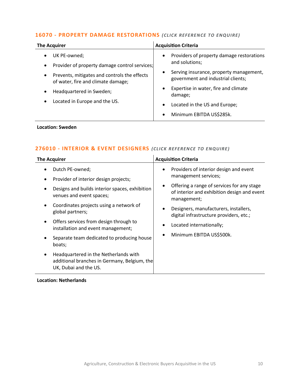# **16070 - [PROPERTY DAMAGE RESTORATIONS](mailto:marya.amrez@langcliffeinternational.com?subject=16070%20-%20Property%20Damage%20Restorations)** *(CLICK REFERENCE TO ENQUIRE)*

| <b>The Acquirer</b>                                                                                                                                           | <b>Acquisition Criteria</b>                                                         |
|---------------------------------------------------------------------------------------------------------------------------------------------------------------|-------------------------------------------------------------------------------------|
| UK PE-owned;<br>$\bullet$                                                                                                                                     | Providers of property damage restorations<br>$\bullet$<br>and solutions;            |
| Provider of property damage control services;<br>$\bullet$<br>Prevents, mitigates and controls the effects<br>$\bullet$<br>of water, fire and climate damage; | Serving insurance, property management,<br>٠<br>government and industrial clients;  |
| Headquartered in Sweden;<br>٠                                                                                                                                 | Expertise in water, fire and climate<br>$\bullet$<br>damage;                        |
| Located in Europe and the US.<br>$\bullet$                                                                                                                    | Located in the US and Europe;<br>$\bullet$<br>Minimum EBITDA US\$285k.<br>$\bullet$ |

#### **Location: Sweden**

#### **276010 - [INTERIOR & EVENT DESIGNERS](mailto:poppy.briggs@langcliffeinternational.com?subject=276010%20-%20Interior%20and%20Event%20Designers)** *(CLICK REFE RENCE TO E NQUIRE )*

| <b>The Acquirer</b>                                                                                                 | <b>Acquisition Criteria</b>                                                                                           |
|---------------------------------------------------------------------------------------------------------------------|-----------------------------------------------------------------------------------------------------------------------|
| Dutch PE-owned;<br>٠                                                                                                | Providers of interior design and event<br>$\bullet$<br>management services;                                           |
| Provider of interior design projects;<br>٠                                                                          |                                                                                                                       |
| Designs and builds interior spaces, exhibition<br>venues and event spaces;                                          | Offering a range of services for any stage<br>$\bullet$<br>of interior and exhibition design and event<br>management; |
| Coordinates projects using a network of<br>$\bullet$<br>global partners;                                            | Designers, manufacturers, installers,<br>$\bullet$<br>digital infrastructure providers, etc.;                         |
| Offers services from design through to<br>$\bullet$<br>installation and event management;                           | Located internationally;                                                                                              |
| Separate team dedicated to producing house<br>٠<br>boats;                                                           | Minimum EBITDA US\$500k.<br>$\bullet$                                                                                 |
| Headquartered in the Netherlands with<br>٠<br>additional branches in Germany, Belgium, the<br>UK, Dubai and the US. |                                                                                                                       |

#### **Location: Netherlands**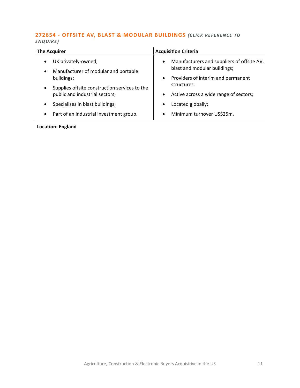#### **272654 - [OFFSITE AV, BLAST & MODULAR BUILDINGS](mailto:joanna.hughes@langcliffeinternational.com?subject=272654%20-%20Offsite%20AV,%20Blast%20and%20Modular%20Buildings)** *(CLICK RE FERENCE TO ENQUIRE )*

| <b>The Acquirer</b>                                                                   | <b>Acquisition Criteria</b>                                                             |
|---------------------------------------------------------------------------------------|-----------------------------------------------------------------------------------------|
| UK privately-owned;<br>$\bullet$<br>Manufacturer of modular and portable<br>$\bullet$ | Manufacturers and suppliers of offsite AV,<br>$\bullet$<br>blast and modular buildings; |
| buildings;                                                                            | Providers of interim and permanent<br>$\bullet$                                         |
| Supplies offsite construction services to the<br>$\bullet$                            | structures;                                                                             |
| public and industrial sectors;                                                        | Active across a wide range of sectors;<br>$\bullet$                                     |
| Specialises in blast buildings;<br>$\bullet$                                          | Located globally;<br>$\bullet$                                                          |
| Part of an industrial investment group.<br>٠                                          | Minimum turnover US\$25m.<br>$\bullet$                                                  |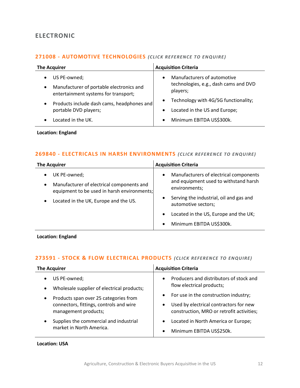# <span id="page-11-0"></span>**ELECTRONIC**

#### **271008 - [AUTOMOTIVE TECHNOLOGIES](mailto:maryia.amrez@langcliffeinternational.com?subject=271008%20-%20Automotive%20Technologies)** *(CLICK RE FERENCE TO EN QUIRE)*

| <b>The Acquirer</b>                                                                                                        | <b>Acquisition Criteria</b>                                                                   |
|----------------------------------------------------------------------------------------------------------------------------|-----------------------------------------------------------------------------------------------|
| US PE-owned;<br>$\bullet$<br>Manufacturer of portable electronics and<br>$\bullet$<br>entertainment systems for transport; | Manufacturers of automotive<br>$\bullet$<br>technologies, e.g., dash cams and DVD<br>players; |
| Products include dash cams, headphones and<br>$\bullet$<br>portable DVD players;                                           | Technology with 4G/5G functionality;<br>Located in the US and Europe;                         |
| Located in the UK.                                                                                                         | Minimum EBITDA US\$300k.<br>$\bullet$                                                         |

**Location: England**

#### **269840 - [ELECTRICALS IN HARSH ENVIRONMENTS](mailto:maryia.amrez@langcliffeinternational.com?subject=269840%20-%20Electricals%20in%20Harsh%20Environments)** *(CLICK RE FERENCE TO ENQUIRE)*

| <b>The Acquirer</b>                                                                                                   | <b>Acquisition Criteria</b>                                                                                   |
|-----------------------------------------------------------------------------------------------------------------------|---------------------------------------------------------------------------------------------------------------|
| UK PE-owned;<br>Manufacturer of electrical components and<br>$\bullet$<br>equipment to be used in harsh environments; | Manufacturers of electrical components<br>$\bullet$<br>and equipment used to withstand harsh<br>environments; |
| Located in the UK, Europe and the US.                                                                                 | Serving the industrial, oil and gas and<br>automotive sectors;                                                |
|                                                                                                                       | Located in the US, Europe and the UK;<br>$\bullet$                                                            |
|                                                                                                                       | Minimum EBITDA US\$300k.                                                                                      |

**Location: England**

# **273591 - [STOCK & FLOW ELECTRICAL PRODUCTS](mailto:george.davies@langcliffeinternational.com?subject=273591%20-%20Stock%20and%20Flow%20Electrical%20Products)** (CLICK REFERENCE TO ENQUIRE)

| The Acquirer                                                    | <b>Acquisition Criteria</b>                                                                      |
|-----------------------------------------------------------------|--------------------------------------------------------------------------------------------------|
| US PE-owned;<br>$\bullet$                                       | Producers and distributors of stock and<br>$\bullet$                                             |
| Wholesale supplier of electrical products;<br>$\bullet$         | flow electrical products;                                                                        |
| Products span over 25 categories from<br>$\bullet$              | For use in the construction industry;<br>$\bullet$                                               |
| connectors, fittings, controls and wire<br>management products; | Used by electrical contractors for new<br>$\bullet$<br>construction, MRO or retrofit activities; |
| Supplies the commercial and industrial<br>٠                     | Located in North America or Europe;<br>$\bullet$                                                 |
| market in North America.                                        | Minimum EBITDA US\$250k.<br>$\bullet$                                                            |
|                                                                 |                                                                                                  |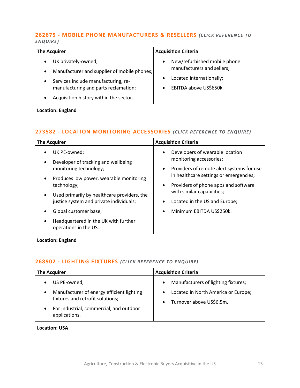#### **262675 - [MOBILE PHONE MANUFACTURERS & RESELLERS](mailto:jack.hutchinson@langcliffeinternational.com?subject=262675%20-%20Mobile%20Phone%20Manufacturers%20and%20Resellers)** *(CLICK RE FEREN CE TO ENQUIRE )*

| <b>The Acquirer</b>                                                                                                                                                                                                                | <b>Acquisition Criteria</b>                                                                                                                             |
|------------------------------------------------------------------------------------------------------------------------------------------------------------------------------------------------------------------------------------|---------------------------------------------------------------------------------------------------------------------------------------------------------|
| UK privately-owned;<br>Manufacturer and supplier of mobile phones;<br>$\bullet$<br>Services include manufacturing, re-<br>$\bullet$<br>manufacturing and parts reclamation;<br>Acquisition history within the sector.<br>$\bullet$ | New/refurbished mobile phone<br>$\bullet$<br>manufacturers and sellers;<br>Located internationally;<br>$\bullet$<br>EBITDA above US\$650k.<br>$\bullet$ |

#### **Location: England**

# **273582 - [LOCATION MONITORING ACCESSORIES](mailto:maryia.amrez@langcliffeinternational.com?subject=273582%20-%20Location%20Monitoring%20Accessories)** *(CLICK REFE RE NCE TO ENQUIRE)*

| <b>The Acquirer</b>                                                        | <b>Acquisition Criteria</b>                            |
|----------------------------------------------------------------------------|--------------------------------------------------------|
| UK PE-owned;                                                               | Developers of wearable location<br>$\bullet$           |
| Developer of tracking and wellbeing<br>$\bullet$                           | monitoring accessories;                                |
| monitoring technology;                                                     | Providers of remote alert systems for use<br>$\bullet$ |
| Produces low power, wearable monitoring<br>$\bullet$                       | in healthcare settings or emergencies;                 |
| technology;                                                                | Providers of phone apps and software<br>$\bullet$      |
| Used primarily by healthcare providers, the<br>$\bullet$                   | with similar capabilities;                             |
| justice system and private individuals;                                    | Located in the US and Europe;                          |
| Global customer base;<br>٠                                                 | Minimum EBITDA US\$250k.<br>$\bullet$                  |
| Headquartered in the UK with further<br>$\bullet$<br>operations in the US. |                                                        |

#### **Location: England**

# **268902 - [LIGHTING FIXTURES](mailto:george.davies@langcliffeinternational.com?subject=268902%20-%20Lighting%20Fixtures)** *(CLICK RE FERENCE TO ENQUIRE)*

| <b>The Acquirer</b>                                                                | <b>Acquisition Criteria</b>                                                               |
|------------------------------------------------------------------------------------|-------------------------------------------------------------------------------------------|
| US PE-owned;<br>$\bullet$                                                          | Manufacturers of lighting fixtures;<br>$\bullet$                                          |
| Manufacturer of energy efficient lighting<br>٠<br>fixtures and retrofit solutions; | Located in North America or Europe;<br>$\bullet$<br>Turnover above US\$6.5m.<br>$\bullet$ |
| For industrial, commercial, and outdoor<br>$\bullet$<br>applications.              |                                                                                           |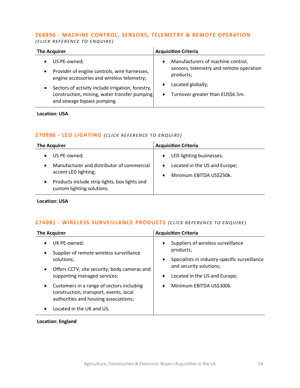# **268896 - [MACHINE CONTROL, SENSORS, TELEMETRY & REMOTE OPERATION](mailto:george.davies@langcliffeinternational.com?subject=268896%20-%20Machine%20Control,%20Sensors,%20Telemetry%20and%20Remote%20Operation)**

*(CLICK REFE RENCE TO ENQUIRE )*

| <b>The Acquirer</b>                               | <b>Acquisition Criteria</b>             |
|---------------------------------------------------|-----------------------------------------|
| US PE-owned;                                      | Manufacturers of machine control,       |
| Provider of engine controls, wire harnesses,      | $\bullet$                               |
| $\bullet$                                         | sensors, telemetry and remote operation |
| engine accessories and wireless telemetry;        | products;                               |
| Sectors of activity include irrigation, forestry, | Located globally;                       |
| $\bullet$                                         | $\bullet$                               |
| construction, mining, water transfer pumping      | Turnover greater than £US\$6.5m.        |
| and sewage bypass pumping.                        | $\bullet$                               |

#### **Location: USA**

#### **270986 - [LED LIGHTING](mailto:george.davies@langcliffeinternational.com?subject=270986%20-%20LED%20Lighting)** *(CLICK RE FERENCE TO ENQUIRE)*

| <b>The Acquirer</b>                                                             | <b>Acquisition Criteria</b>                                                         |
|---------------------------------------------------------------------------------|-------------------------------------------------------------------------------------|
| US PE-owned;                                                                    | LED lighting businesses;<br>$\bullet$                                               |
| Manufacturer and distributor of commercial<br>$\bullet$<br>accent LED lighting; | Located in the US and Europe;<br>$\bullet$<br>Minimum EBITDA US\$250k.<br>$\bullet$ |
| Products include strip lights, box lights and<br>custom lighting solutions.     |                                                                                     |

**Location: USA**

#### **274081 - [WIRELESS SURVEILLANCE PRODUCTS](mailto:maryia.amrez@langcliffeinternational.com?subject=274081%20-%20Wireless%20Surveillance%20Products)** *(CLICK RE FEREN CE TO EN QUIRE )*

| <b>The Acquirer</b>                                                                                                                       | <b>Acquisition Criteria</b>                                  |
|-------------------------------------------------------------------------------------------------------------------------------------------|--------------------------------------------------------------|
| UK PE-owned;<br>٠<br>Supplier of remote wireless surveillance<br>$\bullet$                                                                | Suppliers of wireless surveillance<br>$\bullet$<br>products; |
| solutions;                                                                                                                                | Specialists in industry-specific surveillance<br>٠           |
| Offers CCTV, site security, body cameras and<br>$\bullet$                                                                                 | and security solutions;                                      |
| supporting managed services;                                                                                                              | Located in the US and Europe;<br>$\bullet$                   |
| Customers in a range of sectors including<br>$\bullet$<br>construction, transport, events, local<br>authorities and housing associations; | Minimum EBITDA US\$300k.<br>$\bullet$                        |
| Located in the UK and US.<br>$\bullet$                                                                                                    |                                                              |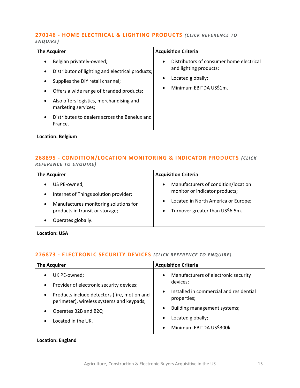#### **270146 - [HOME ELECTRICAL & LIGHTING PRODUCTS](mailto:poppy.briggs@langcliffeinternational.com?subject=270146%20-%20Home%20Electrical%20and%20Lighting%20Products)** *(CLICK REFERENCE TO ENQUIRE )*

| Belgian privately-owned;<br>$\bullet$<br>$\bullet$<br>Distributor of lighting and electrical products;<br>$\bullet$<br>Supplies the DIY retail channel;<br>$\bullet$<br>$\bullet$<br>Offers a wide range of branded products;<br>$\bullet$<br>Also offers logistics, merchandising and<br>$\bullet$ |                                          |
|-----------------------------------------------------------------------------------------------------------------------------------------------------------------------------------------------------------------------------------------------------------------------------------------------------|------------------------------------------|
| marketing services;                                                                                                                                                                                                                                                                                 | Distributors of consumer home electrical |
| Distributes to dealers across the Benelux and                                                                                                                                                                                                                                                       | and lighting products;                   |
| $\bullet$                                                                                                                                                                                                                                                                                           | Located globally;                        |
| France.                                                                                                                                                                                                                                                                                             | Minimum EBITDA US\$1m.                   |

**Location: Belgium**

#### **268895 - [CONDITION/LOCATION MONITORING & INDICATOR PRODUCTS](mailto:george.davies@langcliffeinternational.com?subject=268895%20-%20Condition/Location%20Monitoring%20and%20Indicator%20Products)** *(CLICK REFEREN CE TO ENQUIRE )*

| <b>The Acquirer</b>                   | <b>Acquisition Criteria</b>         |
|---------------------------------------|-------------------------------------|
| US PE-owned;                          | Manufacturers of condition/location |
| Internet of Things solution provider; | $\bullet$                           |
| $\bullet$                             | monitor or indicator products;      |
| Manufactures monitoring solutions for | Located in North America or Europe; |
| ٠                                     | $\bullet$                           |
| products in transit or storage;       | Turnover greater than US\$6.5m.     |
| Operates globally.                    | $\bullet$                           |

**Location: USA**

# **276873 - [ELECTRONIC SECURITY DEVICES](mailto:maryia.amrez@langcliffeinternational.com?subject=276873%20-%20Electronic%20Security%20Devices)** *(CLICK REFE RENCE TO E NQUIRE )*

| <b>Acquisition Criteria</b>                                         |
|---------------------------------------------------------------------|
| Manufacturers of electronic security<br>$\bullet$                   |
| devices;                                                            |
| Installed in commercial and residential<br>$\bullet$<br>properties; |
| Building management systems;<br>$\bullet$                           |
| Located globally;                                                   |
| Minimum EBITDA US\$300k.                                            |
|                                                                     |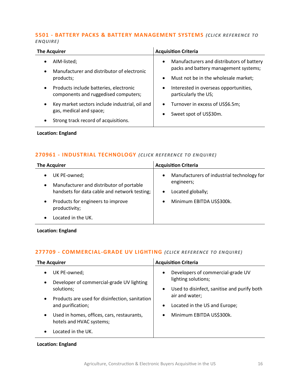#### **5501 - [BATTERY PACKS & BATTERY MANAGEMENT SYSTEMS](mailto:david.miller@langcliffeinternational.com?subject=5501%20-%20Battery%20Packs%20and%20Battery%20Management%20Systems)** *(CLICK RE FERENCE TO ENQUIRE )*

| <b>The Acquirer</b>                                                                         | <b>Acquisition Criteria</b>                                        |
|---------------------------------------------------------------------------------------------|--------------------------------------------------------------------|
| AIM-listed;<br>$\bullet$                                                                    | Manufacturers and distributors of battery<br>$\bullet$             |
| Manufacturer and distributor of electronic<br>$\bullet$                                     | packs and battery management systems;                              |
| products;                                                                                   | Must not be in the wholesale market;<br>$\bullet$                  |
| Products include batteries, electronic<br>$\bullet$<br>components and ruggedised computers; | Interested in overseas opportunities,<br>٠<br>particularly the US; |
| Key market sectors include industrial, oil and<br>$\bullet$                                 | Turnover in excess of US\$6.5m;<br>$\bullet$                       |
| gas, medical and space;                                                                     | Sweet spot of US\$30m.<br>$\bullet$                                |
| Strong track record of acquisitions.<br>$\bullet$                                           |                                                                    |

**Location: England**

# **270961 - [INDUSTRIAL TECHNOLOGY](mailto:maryia.amrez@langcliffeinternational.com?subject=270961%20-%20Industrial%20Technology)** *(CLICK RE FEREN CE TO ENQUIRE)*

| <b>The Acquirer</b>                                                                                                   | <b>Acquisition Criteria</b>                                                                             |
|-----------------------------------------------------------------------------------------------------------------------|---------------------------------------------------------------------------------------------------------|
| UK PE-owned;<br>Manufacturer and distributor of portable<br>$\bullet$<br>handsets for data cable and network testing; | Manufacturers of industrial technology for<br>$\bullet$<br>engineers;<br>Located globally;<br>$\bullet$ |
| Products for engineers to improve<br>$\bullet$<br>productivity;                                                       | Minimum EBITDA US\$300k.                                                                                |
| Located in the UK.                                                                                                    |                                                                                                         |

**Location: England**

# **277709 - [COMMERCIAL-GRADE UV LIGHTING](mailto:maryia.amrez@langcliffeinternational.com?subject=277709%20-%20Commercial-Grade%20UV%20Lighting)** *(CLICK RE FERENCE TO ENQUIRE)*

| <b>The Acquirer</b>                                                                 | <b>Acquisition Criteria</b>                 |
|-------------------------------------------------------------------------------------|---------------------------------------------|
| UK PE-owned;                                                                        | Developers of commercial-grade UV           |
| $\bullet$                                                                           | $\bullet$                                   |
| Developer of commercial-grade UV lighting                                           | lighting solutions;                         |
| ٠                                                                                   | Used to disinfect, sanitise and purify both |
| solutions;                                                                          | $\bullet$                                   |
| Products are used for disinfection, sanitation                                      | air and water;                              |
| $\bullet$                                                                           | Located in the US and Europe;               |
| and purification;                                                                   | $\bullet$                                   |
| Used in homes, offices, cars, restaurants,<br>$\bullet$<br>hotels and HVAC systems; | Minimum EBITDA US\$300k.<br>$\bullet$       |
| Located in the UK.                                                                  |                                             |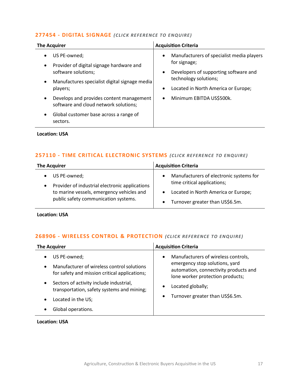#### **277454 - [DIGITAL SIGNAGE](mailto:george.davies@langcliffeinternational.com?subject=277454%20-%20Digital%20Signage)** *(CLICK RE FERE NCE TO ENQUIRE)*

| US PE-owned;<br>$\bullet$<br>for signage;                                                                                               | Manufacturers of specialist media players |
|-----------------------------------------------------------------------------------------------------------------------------------------|-------------------------------------------|
| Provider of digital signage hardware and<br>$\bullet$                                                                                   |                                           |
| software solutions;<br>$\bullet$<br>technology solutions;                                                                               | Developers of supporting software and     |
| Manufactures specialist digital signage media<br>$\bullet$<br>players;<br>$\bullet$                                                     | Located in North America or Europe;       |
| Minimum EBITDA US\$500k.<br>Develops and provides content management<br>$\bullet$<br>$\bullet$<br>software and cloud network solutions; |                                           |
| Global customer base across a range of<br>$\bullet$<br>sectors.                                                                         |                                           |

**Location: USA**

#### **257110 - [TIME CRITICAL ELECTRONIC SYSTEMS](mailto:george.davies@langcliffeinternational.com?subject=257110%20-%20Time%20Critical%20Electronic%20Systems)** *(CLICK RE FERENCE TO EN QUIRE )*

| <b>The Acquirer</b>                                                                                                                                                | <b>Acquisition Criteria</b>                                                                                                                                                             |
|--------------------------------------------------------------------------------------------------------------------------------------------------------------------|-----------------------------------------------------------------------------------------------------------------------------------------------------------------------------------------|
| • US PE-owned;<br>Provider of industrial electronic applications<br>$\bullet$<br>to marine vessels, emergency vehicles and<br>public safety communication systems. | Manufacturers of electronic systems for<br>$\bullet$<br>time critical applications;<br>Located in North America or Europe;<br>$\bullet$<br>Turnover greater than US\$6.5m.<br>$\bullet$ |

**Location: USA**

#### **268906 - [WIRELESS CONTROL & PROTECTION](mailto:george.davies@langcliffeinternational.com?subject=268906%20-%20Wireless%20Control%20and%20Protection)** *(CLICK RE FERENCE TO ENQUIRE)*

| <b>The Acquirer</b>                                                                                                           | <b>Acquisition Criteria</b>                                                                                                                                     |
|-------------------------------------------------------------------------------------------------------------------------------|-----------------------------------------------------------------------------------------------------------------------------------------------------------------|
| US PE-owned;<br>٠<br>Manufacturer of wireless control solutions<br>$\bullet$<br>for safety and mission critical applications; | Manufacturers of wireless controls,<br>$\bullet$<br>emergency stop solutions, yard<br>automation, connectivity products and<br>lone worker protection products; |
| Sectors of activity include industrial,<br>$\bullet$<br>transportation, safety systems and mining;<br>Located in the US;<br>٠ | Located globally;<br>$\bullet$<br>Turnover greater than US\$6.5m.<br>$\bullet$                                                                                  |
| Global operations.                                                                                                            |                                                                                                                                                                 |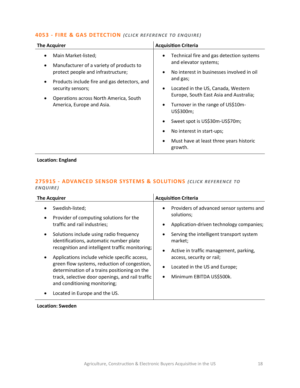#### **4053 - [FIRE & GAS DETECTION](mailto:jack.hutchinson@langcliffeinternational.com?subject=4053%20-%20Fire%20and%20Gas%20Detection)** *(CLICK RE FE RENCE TO EN QUIRE)*

| <b>The Acquirer</b>                                                                                                                                                                                                                               | <b>Acquisition Criteria</b>                                                                                                                                                                                                                                                                                                                                                                                                                                          |
|---------------------------------------------------------------------------------------------------------------------------------------------------------------------------------------------------------------------------------------------------|----------------------------------------------------------------------------------------------------------------------------------------------------------------------------------------------------------------------------------------------------------------------------------------------------------------------------------------------------------------------------------------------------------------------------------------------------------------------|
| Main Market-listed;<br>Manufacturer of a variety of products to<br>protect people and infrastructure;<br>Products include fire and gas detectors, and<br>security sensors;<br>Operations across North America, South<br>America, Europe and Asia. | Technical fire and gas detection systems<br>$\bullet$<br>and elevator systems;<br>No interest in businesses involved in oil<br>$\bullet$<br>and gas;<br>Located in the US, Canada, Western<br>$\bullet$<br>Europe, South East Asia and Australia;<br>Turnover in the range of US\$10m-<br>$\bullet$<br>US\$300m;<br>Sweet spot is US\$30m-US\$70m;<br>$\bullet$<br>No interest in start-ups;<br>٠<br>Must have at least three years historic<br>$\bullet$<br>growth. |
|                                                                                                                                                                                                                                                   |                                                                                                                                                                                                                                                                                                                                                                                                                                                                      |

# **Location: England**

#### **275915 - [ADVANCED SENSOR SYSTEMS & SOLUTIONS](mailto:charlotte.keane@langcliffeinternational.com?subject=275915%20-%20Advanced%20Sensor%20Systems%20and%20Solutions)** *(CLICK RE FERENCE TO ENQUIRE )*

| <b>The Acquirer</b>                              | <b>Acquisition Criteria</b>              |
|--------------------------------------------------|------------------------------------------|
| Swedish-listed;                                  | Providers of advanced sensor systems and |
| Provider of computing solutions for the          | $\bullet$                                |
| traffic and rail industries;                     | solutions;                               |
| Solutions include using radio frequency          | Application-driven technology companies; |
| identifications, automatic number plate          | Serving the intelligent transport system |
| recognition and intelligent traffic monitoring;  | market;                                  |
| Applications include vehicle specific access,    | Active in traffic management, parking,   |
| green flow systems, reduction of congestion,     | $\bullet$                                |
| determination of a trains positioning on the     | access, security or rail;                |
| track, selective door openings, and rail traffic | Located in the US and Europe;            |
| and conditioning monitoring;                     | Minimum EBITDA US\$500k.                 |
| Located in Europe and the US.                    | $\bullet$                                |

#### **Location: Sweden**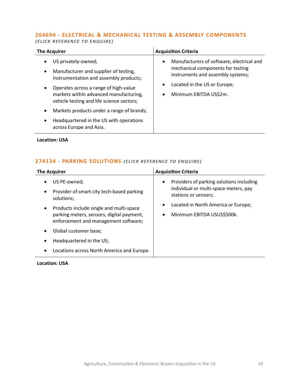#### **264694 - [ELECTRICAL & MECHANICAL TESTING & ASSEMBLY COMPONENTS](mailto:poppy.briggs@langcliffeinternational.com?subject=264694%20-%20Electrical%20and%20Mechanical%20Testing%20and%20Assembly%20Components)**

*(CLICK REFE RENCE TO E NQUIRE )*

| <b>The Acquirer</b>                                                                                                                                                                                                                    | <b>Acquisition Criteria</b>                                                                                                                                                                                  |
|----------------------------------------------------------------------------------------------------------------------------------------------------------------------------------------------------------------------------------------|--------------------------------------------------------------------------------------------------------------------------------------------------------------------------------------------------------------|
| US privately-owned;<br>Manufacturer and supplier of testing,<br>instrumentation and assembly products;<br>Operates across a range of high-value<br>markets within advanced manufacturing,<br>vehicle testing and life science sectors; | Manufacturers of software, electrical and<br>$\bullet$<br>mechanical components for testing<br>instruments and assembly systems;<br>Located in the US or Europe;<br>٠<br>Minimum EBITDA US\$2m.<br>$\bullet$ |
| Markets products under a range of brands;<br>Headquartered in the US with operations<br>across Europe and Asia.                                                                                                                        |                                                                                                                                                                                                              |

**Location: USA**

# **274134 - [PARKING SOLUTIONS](mailto:george.davies@langcliffeinternational.com?subject=274134%20-%20Parking%20Solutions)** *(CLICK RE FE RENCE TO EN QUIRE)*

| <b>The Acquirer</b>                                                                                                                       | <b>Acquisition Criteria</b>                                                                                            |
|-------------------------------------------------------------------------------------------------------------------------------------------|------------------------------------------------------------------------------------------------------------------------|
| US PE-owned;<br>Provider of smart city tech-based parking<br>$\bullet$<br>solutions;                                                      | Providers of parking solutions including<br>$\bullet$<br>individual or multi-space meters, pay<br>stations or sensors; |
| Products include single and multi-space<br>$\bullet$<br>parking meters, sensors, digital payment,<br>enforcement and management software; | Located in North America or Europe;<br>$\bullet$<br>Minimum EBITDA USUS\$500k.<br>$\bullet$                            |
| Global customer base;                                                                                                                     |                                                                                                                        |
| Headquartered in the US;<br>٠                                                                                                             |                                                                                                                        |
| Locations across North America and Europe.                                                                                                |                                                                                                                        |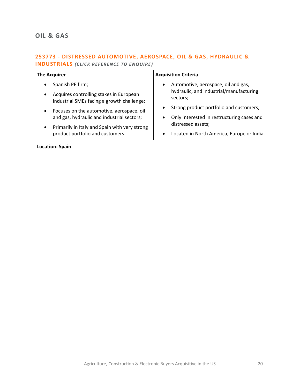# <span id="page-19-0"></span>**OIL & GAS**

# **253773 - [DISTRESSED AUTOMOTIVE, AEROSPACE, OIL & GAS, HYDRAULIC &](mailto:francesca.morra@langcliffeinternational.com?subject=253773%20-%20Distressed%20Automotive,%20Aerospace,%20Oil%20and%20Gas,%20Hydraulic%20and%20Industrials)  [INDUSTRIALS](mailto:francesca.morra@langcliffeinternational.com?subject=253773%20-%20Distressed%20Automotive,%20Aerospace,%20Oil%20and%20Gas,%20Hydraulic%20and%20Industrials)** *(CLICK REFERENCE TO EN QUIRE)*

| <b>The Acquirer</b>                                                                                                                                                                                                                                                                                                                           | <b>Acquisition Criteria</b>                                                                                                                                                                                                                                                       |
|-----------------------------------------------------------------------------------------------------------------------------------------------------------------------------------------------------------------------------------------------------------------------------------------------------------------------------------------------|-----------------------------------------------------------------------------------------------------------------------------------------------------------------------------------------------------------------------------------------------------------------------------------|
| Spanish PE firm;<br>$\bullet$<br>Acquires controlling stakes in European<br>$\bullet$<br>industrial SMEs facing a growth challenge;<br>Focuses on the automotive, aerospace, oil<br>$\bullet$<br>and gas, hydraulic and industrial sectors;<br>Primarily in Italy and Spain with very strong<br>$\bullet$<br>product portfolio and customers. | Automotive, aerospace, oil and gas,<br>$\bullet$<br>hydraulic, and industrial/manufacturing<br>sectors;<br>Strong product portfolio and customers;<br>$\bullet$<br>Only interested in restructuring cases and<br>distressed assets;<br>Located in North America, Europe or India. |

**Location: Spain**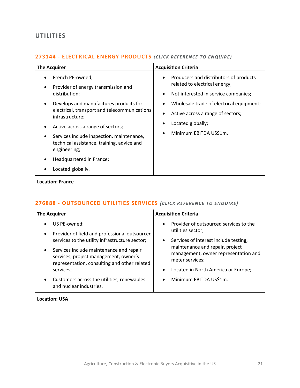# <span id="page-20-0"></span>**UTILITIES**

#### **273144 - [ELECTRICAL ENERGY PRODUCTS](mailto:poppy.briggs@langcliffeinternational.com?subject=273144%20-%20Electrical%20Energy%20Products)** *(CLICK REFE RENCE TO E NQUIRE )*

| <b>The Acquirer</b>                                                                                                                                                                             | <b>Acquisition Criteria</b>                                                                                                                                                                                                                          |
|-------------------------------------------------------------------------------------------------------------------------------------------------------------------------------------------------|------------------------------------------------------------------------------------------------------------------------------------------------------------------------------------------------------------------------------------------------------|
| French PE-owned;<br>Provider of energy transmission and<br>٠<br>distribution;<br>Develops and manufactures products for<br>٠<br>electrical, transport and telecommunications<br>infrastructure; | Producers and distributors of products<br>$\bullet$<br>related to electrical energy;<br>Not interested in service companies;<br>٠<br>Wholesale trade of electrical equipment;<br>Active across a range of sectors;<br>$\bullet$<br>Located globally; |
| Active across a range of sectors;<br>Services include inspection, maintenance,<br>technical assistance, training, advice and<br>engineering;                                                    | Minimum EBITDA US\$1m.<br>$\bullet$                                                                                                                                                                                                                  |
| Headquartered in France;<br>Located globally.                                                                                                                                                   |                                                                                                                                                                                                                                                      |

#### **Location: France**

# **276888 - [OUTSOURCED UTILITIES SERVICES](mailto:george.davies@langcliffeinternational.com?subject=276888%20-%20Outsourced%20Utilities%20Services)** (CLICK REFERENCE TO ENQUIRE)

| <b>The Acquirer</b>                                                                                                                           | <b>Acquisition Criteria</b>                                                                |
|-----------------------------------------------------------------------------------------------------------------------------------------------|--------------------------------------------------------------------------------------------|
| US PE-owned;<br>٠                                                                                                                             | Provider of outsourced services to the<br>$\bullet$                                        |
| Provider of field and professional outsourced<br>$\bullet$                                                                                    | utilities sector;                                                                          |
| services to the utility infrastructure sector;                                                                                                | Services of interest include testing,<br>$\bullet$                                         |
| Services include maintenance and repair<br>$\bullet$<br>services, project management, owner's<br>representation, consulting and other related | maintenance and repair, project<br>management, owner representation and<br>meter services; |
| services;                                                                                                                                     | Located in North America or Europe;<br>$\bullet$                                           |
| Customers across the utilities, renewables<br>$\bullet$<br>and nuclear industries.                                                            | Minimum EBITDA US\$1m.<br>$\bullet$                                                        |